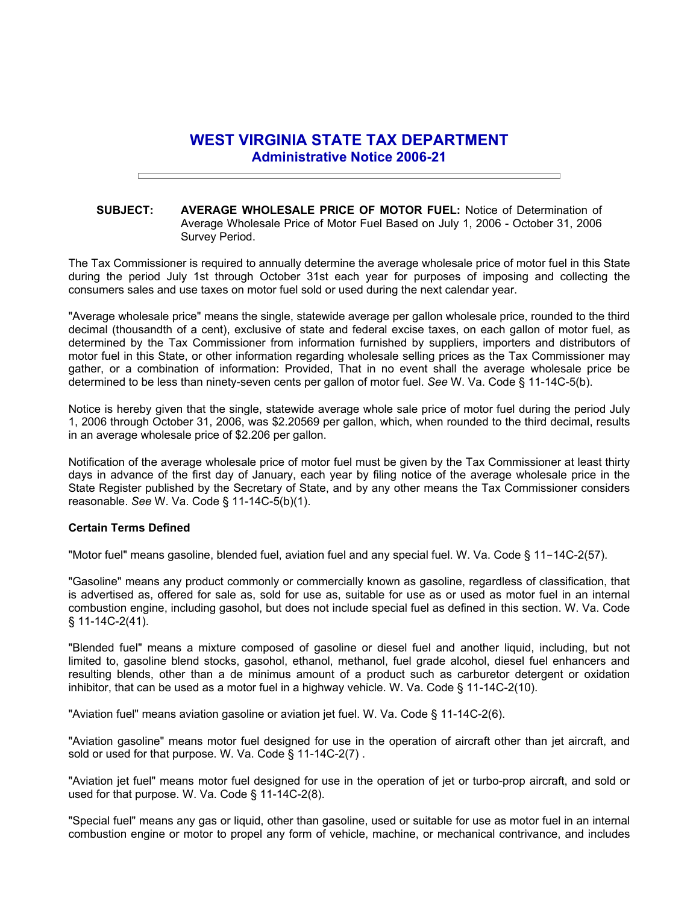## **WEST VIRGINIA STATE TAX DEPARTMENT Administrative Notice 2006-21**

## **SUBJECT: AVERAGE WHOLESALE PRICE OF MOTOR FUEL:** Notice of Determination of Average Wholesale Price of Motor Fuel Based on July 1, 2006 - October 31, 2006 Survey Period.

The Tax Commissioner is required to annually determine the average wholesale price of motor fuel in this State during the period July 1st through October 31st each year for purposes of imposing and collecting the consumers sales and use taxes on motor fuel sold or used during the next calendar year.

"Average wholesale price" means the single, statewide average per gallon wholesale price, rounded to the third decimal (thousandth of a cent), exclusive of state and federal excise taxes, on each gallon of motor fuel, as determined by the Tax Commissioner from information furnished by suppliers, importers and distributors of motor fuel in this State, or other information regarding wholesale selling prices as the Tax Commissioner may gather, or a combination of information: Provided, That in no event shall the average wholesale price be determined to be less than ninety-seven cents per gallon of motor fuel. *See* W. Va. Code § 11-14C-5(b).

Notice is hereby given that the single, statewide average whole sale price of motor fuel during the period July 1, 2006 through October 31, 2006, was \$2.20569 per gallon, which, when rounded to the third decimal, results in an average wholesale price of \$2.206 per gallon.

Notification of the average wholesale price of motor fuel must be given by the Tax Commissioner at least thirty days in advance of the first day of January, each year by filing notice of the average wholesale price in the State Register published by the Secretary of State, and by any other means the Tax Commissioner considers reasonable. *See* W. Va. Code § 11-14C-5(b)(1).

## **Certain Terms Defined**

"Motor fuel" means gasoline, blended fuel, aviation fuel and any special fuel. W. Va. Code § 11-14C-2(57).

"Gasoline" means any product commonly or commercially known as gasoline, regardless of classification, that is advertised as, offered for sale as, sold for use as, suitable for use as or used as motor fuel in an internal combustion engine, including gasohol, but does not include special fuel as defined in this section. W. Va. Code § 11-14C-2(41).

"Blended fuel" means a mixture composed of gasoline or diesel fuel and another liquid, including, but not limited to, gasoline blend stocks, gasohol, ethanol, methanol, fuel grade alcohol, diesel fuel enhancers and resulting blends, other than a de minimus amount of a product such as carburetor detergent or oxidation inhibitor, that can be used as a motor fuel in a highway vehicle. W. Va. Code § 11-14C-2(10).

"Aviation fuel" means aviation gasoline or aviation jet fuel. W. Va. Code § 11-14C-2(6).

"Aviation gasoline" means motor fuel designed for use in the operation of aircraft other than jet aircraft, and sold or used for that purpose. W. Va. Code § 11-14C-2(7).

"Aviation jet fuel" means motor fuel designed for use in the operation of jet or turbo-prop aircraft, and sold or used for that purpose. W. Va. Code § 11-14C-2(8).

"Special fuel" means any gas or liquid, other than gasoline, used or suitable for use as motor fuel in an internal combustion engine or motor to propel any form of vehicle, machine, or mechanical contrivance, and includes